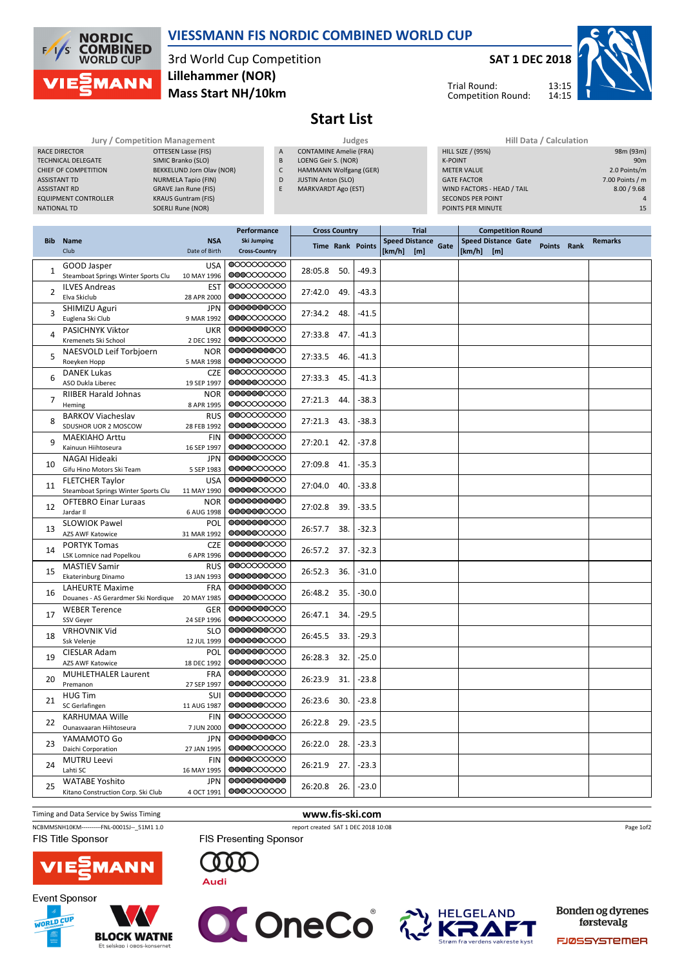

### VIESSMANN FIS NORDIC COMBINED WORLD CUP

3rd World Cup Competition Mass Start NH/10km Lillehammer (NOR)

# SAT 1 DEC 2018

Trial Round: Competition Round:



## Start List

### Jury / Competition Management **Management** Judges Judges Hill Data / Calculation RACE DIRECTOR **OTTESEN Lasse (FIS)** TECHNICAL DELEGATE SIMIC Branko (SLO) CHIEF OF COMPETITION BEKKELUND Jorn Olav (NOR) ASSISTANT TD NURMELA Tapio (FIN) ASSISTANT RD GRAVE Jan Rune (FIS)<br>EQUIPMENT CONTROLLER KRAUS Guntram (FIS) EQUIPMENT CONTROLLER NATIONAL TD SOERLI Rune (NOR) A CONTAMINE Amelie (FRA) B LOENG Geir S. (NOR) C HAMMANN Wolfgang (GER) D JUSTIN Anton (SLO) E MARKVARDT Ago (EST) HILL SIZE / (95%) 98m (93m) K-POINT **90m** METER VALUE 2.0 Points/m GATE FACTOR **6** The second state of the second state of the second state of the second state of the second state of the second state of the second state of the second state of the second state of the second state of the se WIND FACTORS - HEAD / TAIL 8.00 / 9.68 SECONDS PER POINT 1999 AND 1999 AND 1999 AND 1999 AND 1999 AND 1999 AND 1999 AND 1999 AND 1999 AND 1999 AND 19<br>1999 AND 1999 AND 1999 AND 1999 AND 1999 AND 1999 AND 1999 AND 1999 AND 1999 AND 1999 AND 1999 AND 1999 AND 19 POINTS PER MINUTE

|                |                                                               |                             | Performance                                | <b>Cross Country</b> |     |                         | <b>Trial</b>                  |     |  |                                              | <b>Competition Round</b> |             |  |                |
|----------------|---------------------------------------------------------------|-----------------------------|--------------------------------------------|----------------------|-----|-------------------------|-------------------------------|-----|--|----------------------------------------------|--------------------------|-------------|--|----------------|
| <b>Bib</b>     | <b>Name</b><br>Club                                           | <b>NSA</b><br>Date of Birth | <b>Ski Jumping</b><br><b>Cross-Country</b> |                      |     | <b>Time Rank Points</b> | Speed Distance Gate<br>[km/h] | [m] |  | <b>Speed Distance Gate</b><br>$[km/h]$ $[m]$ |                          | Points Rank |  | <b>Remarks</b> |
| $\mathbf{1}$   | GOOD Jasper<br>Steamboat Springs Winter Sports Clu            | <b>USA</b><br>10 MAY 1996   | 0000000000<br>0000000000                   | 28:05.8              | 50. | $-49.3$                 |                               |     |  |                                              |                          |             |  |                |
| $\overline{2}$ | <b>ILVES Andreas</b><br>Elva Skiclub                          | <b>EST</b><br>28 APR 2000   | 0000000000<br>0000000000                   | 27:42.0              | 49. | $-43.3$                 |                               |     |  |                                              |                          |             |  |                |
| 3              | SHIMIZU Aguri<br>Euglena Ski Club                             | <b>JPN</b><br>9 MAR 1992    | 0000000000<br>0000000000                   | 27:34.2              | 48. | $-41.5$                 |                               |     |  |                                              |                          |             |  |                |
| 4              | <b>PASICHNYK Viktor</b><br>Kremenets Ski School               | <b>UKR</b><br>2 DEC 1992    | 0000000000<br>0000000000                   | 27:33.8              | 47. | -41.3                   |                               |     |  |                                              |                          |             |  |                |
| 5              | NAESVOLD Leif Torbjoern<br>Roeyken Hopp                       | <b>NOR</b><br>5 MAR 1998    | 0000000000<br>0000000000                   | 27:33.5              | 46. | -41.3                   |                               |     |  |                                              |                          |             |  |                |
| 6              | <b>DANEK Lukas</b><br>ASO Dukla Liberec                       | <b>CZE</b><br>19 SEP 1997   | 0000000000<br>00000000000                  | 27:33.3              | 45. | -41.3                   |                               |     |  |                                              |                          |             |  |                |
| $\overline{7}$ | <b>RIIBER Harald Johnas</b><br>Heming                         | <b>NOR</b><br>8 APR 1995    | 0000000000<br>0000000000                   | 27:21.3              | 44. | -38.3                   |                               |     |  |                                              |                          |             |  |                |
| 8              | <b>BARKOV Viacheslav</b><br>SDUSHOR UOR 2 MOSCOW              | <b>RUS</b><br>28 FEB 1992   | 0000000000<br>0000000000                   | 27:21.3              | 43. | $-38.3$                 |                               |     |  |                                              |                          |             |  |                |
| 9              | <b>MAEKIAHO Arttu</b><br>Kainuun Hiihtoseura                  | <b>FIN</b><br>16 SEP 1997   | 0000000000<br>00000000000                  | 27:20.1              | 42. | $-37.8$                 |                               |     |  |                                              |                          |             |  |                |
| 10             | NAGAI Hideaki<br>Gifu Hino Motors Ski Team                    | <b>JPN</b><br>5 SEP 1983    | 00000000000<br>0000000000                  | 27:09.8              | 41. | -35.3                   |                               |     |  |                                              |                          |             |  |                |
| 11             | <b>FLETCHER Taylor</b><br>Steamboat Springs Winter Sports Clu | <b>USA</b><br>11 MAY 1990   | 0000000000<br>0000000000                   | 27:04.0              | 40. | -33.8                   |                               |     |  |                                              |                          |             |  |                |
| 12             | <b>OFTEBRO Einar Luraas</b><br>Jardar II                      | <b>NOR</b><br>6 AUG 1998    | 0000000000<br>0000000000                   | 27:02.8              | 39. | $-33.5$                 |                               |     |  |                                              |                          |             |  |                |
| 13             | <b>SLOWIOK Pawel</b><br><b>AZS AWF Katowice</b>               | POL<br>31 MAR 1992          | 0000000000<br>00000000000                  | 26:57.7              | 38. | -32.3                   |                               |     |  |                                              |                          |             |  |                |
| 14             | <b>PORTYK Tomas</b><br>LSK Lomnice nad Popelkou               | <b>CZE</b><br>6 APR 1996    | 0000000000<br>0000000000                   | 26:57.2              | 37. | -32.3                   |                               |     |  |                                              |                          |             |  |                |
| 15             | <b>MASTIEV Samir</b><br><b>Ekaterinburg Dinamo</b>            | RUS<br>13 JAN 1993          | 0000000000<br>0000000000                   | 26:52.3              | 36. | -31.0                   |                               |     |  |                                              |                          |             |  |                |
| 16             | <b>LAHEURTE Maxime</b><br>Douanes - AS Gerardmer Ski Nordique | <b>FRA</b><br>20 MAY 1985   | 0000000000<br>0000000000                   | 26:48.2              | 35. | $-30.0$                 |                               |     |  |                                              |                          |             |  |                |
| 17             | <b>WEBER Terence</b><br>SSV Geyer                             | <b>GER</b><br>24 SEP 1996   | 0000000000<br>0000000000                   | 26:47.1              | 34. | $-29.5$                 |                               |     |  |                                              |                          |             |  |                |
| 18             | <b>VRHOVNIK Vid</b><br>Ssk Velenje                            | <b>SLO</b><br>12 JUL 1999   | 00000000000<br>0000000000                  | 26:45.5              | 33. | -29.3                   |                               |     |  |                                              |                          |             |  |                |
| 19             | <b>CIESLAR Adam</b><br><b>AZS AWF Katowice</b>                | POL<br>18 DEC 1992          | 0000000000<br>0000000000                   | 26:28.3              | 32. | $-25.0$                 |                               |     |  |                                              |                          |             |  |                |
| 20             | <b>MUHLETHALER Laurent</b><br>Premanon                        | <b>FRA</b><br>27 SEP 1997   | 00000000000<br>0000000000                  | 26:23.9              | 31. | $-23.8$                 |                               |     |  |                                              |                          |             |  |                |
| 21             | <b>HUG Tim</b><br>SC Gerlafingen                              | SUI<br>11 AUG 1987          | 0000000000<br>0000000000                   | 26:23.6              | 30. | -23.8                   |                               |     |  |                                              |                          |             |  |                |
| 22             | <b>KARHUMAA Wille</b><br>Ounasvaaran Hiihtoseura              | <b>FIN</b><br>7 JUN 2000    | 0000000000<br>0000000000                   | 26:22.8              | 29. | $-23.5$                 |                               |     |  |                                              |                          |             |  |                |
| 23             | YAMAMOTO Go<br>Daichi Corporation                             | <b>JPN</b><br>27 JAN 1995   | 0000000000<br>0000000000                   | 26:22.0              | 28. | -23.3                   |                               |     |  |                                              |                          |             |  |                |
| 24             | <b>MUTRU Leevi</b><br>Lahti SC                                | <b>FIN</b><br>16 MAY 1995   | 0000000000<br>0000000000                   | 26:21.9              | 27. | -23.3                   |                               |     |  |                                              |                          |             |  |                |
| 25             | <b>WATABE Yoshito</b><br>Kitano Construction Corp. Ski Club   | <b>JPN</b><br>4 OCT 1991    | 0000000000<br>0000000000                   | 26:20.8              | 26. | -23.0                   |                               |     |  |                                              |                          |             |  |                |

### Timing and Data Service by Swiss Timing **www.fis-ski.com**

NCBMMSNH10KM----------FNL-0001SJ--\_ 51M1 1.0 report created SAT 1 DEC 2018 10:08 **FIS Title Sponsor** 

**FIS Presenting Sponsor** 

Page 1of2









 $0<sub>0</sub>$ 0

**Audi** 



**Bonden og dyrenes** førstevalg

**FJØSSYSTEMER**